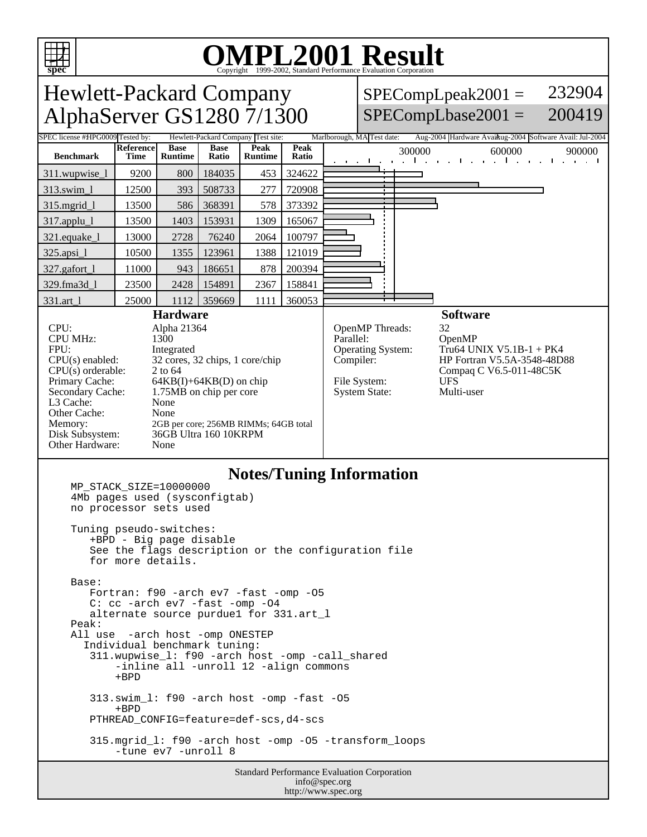

# OMPL2001 Resultation Corporation

| <b>Hewlett-Packard Company</b>                                                                                                                                                                                                                                                                                                                                                                                                                                       |                                 |                               |                      |                                    |                                                                                                                                                                                                                                                               | 232904<br>$SPECompLpeak2001 =$                                                        |
|----------------------------------------------------------------------------------------------------------------------------------------------------------------------------------------------------------------------------------------------------------------------------------------------------------------------------------------------------------------------------------------------------------------------------------------------------------------------|---------------------------------|-------------------------------|----------------------|------------------------------------|---------------------------------------------------------------------------------------------------------------------------------------------------------------------------------------------------------------------------------------------------------------|---------------------------------------------------------------------------------------|
| AlphaServer GS1280 7/1300                                                                                                                                                                                                                                                                                                                                                                                                                                            |                                 |                               |                      |                                    |                                                                                                                                                                                                                                                               | $SPECompLbase2001 =$<br>200419                                                        |
| SPEC license #HPG0009 Tested by:                                                                                                                                                                                                                                                                                                                                                                                                                                     |                                 |                               |                      | Hewlett-Packard Company Test site: |                                                                                                                                                                                                                                                               | Aug-2004 Hardware Avaikug-2004 Software Avail: Jul-2004<br>Marlborough, MA Test date: |
| <b>Benchmark</b>                                                                                                                                                                                                                                                                                                                                                                                                                                                     | <b>Reference</b><br><b>Time</b> | <b>Base</b><br><b>Runtime</b> | <b>Base</b><br>Ratio | Peak<br><b>Runtime</b>             | Peak<br>Ratio                                                                                                                                                                                                                                                 | 300000<br>600000<br>900000<br>التوارد التواري المتحدث المتواطن التواريخ المتحدث       |
| 311.wupwise_1                                                                                                                                                                                                                                                                                                                                                                                                                                                        | 9200                            | 800                           | 184035               | 453                                | 324622                                                                                                                                                                                                                                                        |                                                                                       |
| 313.swim 1                                                                                                                                                                                                                                                                                                                                                                                                                                                           | 12500                           | 393                           | 508733               | 277                                | 720908                                                                                                                                                                                                                                                        |                                                                                       |
| 315.mgrid_l                                                                                                                                                                                                                                                                                                                                                                                                                                                          | 13500                           | 586                           | 368391               | 578                                | 373392                                                                                                                                                                                                                                                        |                                                                                       |
| 317.applu_l                                                                                                                                                                                                                                                                                                                                                                                                                                                          | 13500                           | 1403                          | 153931               | 1309                               | 165067                                                                                                                                                                                                                                                        |                                                                                       |
| 321.equake_l                                                                                                                                                                                                                                                                                                                                                                                                                                                         | 13000                           | 2728                          | 76240                | 2064                               | 100797                                                                                                                                                                                                                                                        |                                                                                       |
| $325 \text{ apsi}\_1$                                                                                                                                                                                                                                                                                                                                                                                                                                                | 10500                           | 1355                          | 123961               | 1388                               | 121019                                                                                                                                                                                                                                                        |                                                                                       |
| 327.gafort_l                                                                                                                                                                                                                                                                                                                                                                                                                                                         | 11000                           | 943                           | 186651               | 878                                | 200394                                                                                                                                                                                                                                                        |                                                                                       |
| 329.fma3d 1                                                                                                                                                                                                                                                                                                                                                                                                                                                          | 23500                           | 2428                          | 154891               | 2367                               | 158841                                                                                                                                                                                                                                                        |                                                                                       |
| 331.art 1                                                                                                                                                                                                                                                                                                                                                                                                                                                            | 25000                           | 1112                          | 359669               | 1111                               | 360053                                                                                                                                                                                                                                                        | $\mathbf{r}$                                                                          |
| <b>Hardware</b><br>CPU:<br>Alpha 21364<br><b>CPU MHz:</b><br>1300<br>FPII:<br>Integrated<br>$CPU(s)$ enabled:<br>32 cores, 32 chips, 1 core/chip<br>CPU(s) orderable:<br>2 to 64<br>Primary Cache:<br>$64KB(I) + 64KB(D)$ on chip<br>Secondary Cache:<br>1.75MB on chip per core<br>L <sub>3</sub> Cache:<br>None<br>Other Cache:<br>None<br>Memory:<br>2GB per core; 256MB RIMMs; 64GB total<br>36GB Ultra 160 10KRPM<br>Disk Subsystem:<br>Other Hardware:<br>None |                                 |                               |                      |                                    | <b>Software</b><br>OpenMP Threads:<br>32<br>Parallel:<br>OpenMP<br>Operating System:<br>Tru64 UNIX $V5.1B-1 + PK4$<br>HP Fortran V5.5A-3548-48D88<br>Compiler:<br>Compaq C V6.5-011-48C5K<br><b>UES</b><br>File System:<br><b>System State:</b><br>Multi-user |                                                                                       |

#### **Notes/Tuning Information**

```
 MP_STACK_SIZE=10000000
4Mb pages used (sysconfigtab)
no processor sets used
Tuning pseudo-switches:
   +BPD - Big page disable
   See the flags description or the configuration file
   for more details.
Base:
  Fortran: f90 -arch ev7 -fast -omp -05
   C: cc -arch ev7 -fast -omp -O4
   alternate source purdue1 for 331.art_l
Peak:
All use -arch host -omp ONESTEP
  Individual benchmark tuning:
   311.wupwise_l: f90 -arch host -omp -call_shared
       -inline all -unroll 12 -align commons
       +BPD
   313.swim_l: f90 -arch host -omp -fast -O5
       +BPD
   PTHREAD_CONFIG=feature=def-scs,d4-scs
   315.mgrid_l: f90 -arch host -omp -O5 -transform_loops
       -tune ev7 -unroll 8
```
Standard Performance Evaluation Corporation info@spec.org http://www.spec.org